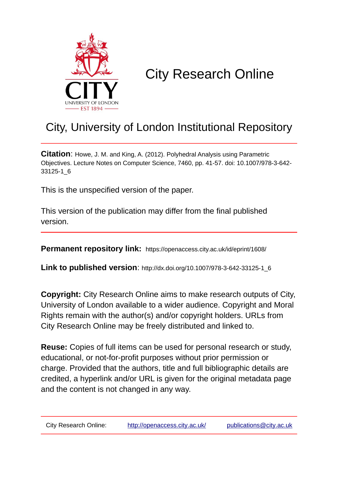

# City Research Online

## City, University of London Institutional Repository

**Citation**: Howe, J. M. and King, A. (2012). Polyhedral Analysis using Parametric Objectives. Lecture Notes on Computer Science, 7460, pp. 41-57. doi: 10.1007/978-3-642- 33125-1\_6

This is the unspecified version of the paper.

This version of the publication may differ from the final published version.

**Permanent repository link:** https://openaccess.city.ac.uk/id/eprint/1608/

**Link to published version**: http://dx.doi.org/10.1007/978-3-642-33125-1\_6

**Copyright:** City Research Online aims to make research outputs of City, University of London available to a wider audience. Copyright and Moral Rights remain with the author(s) and/or copyright holders. URLs from City Research Online may be freely distributed and linked to.

**Reuse:** Copies of full items can be used for personal research or study, educational, or not-for-profit purposes without prior permission or charge. Provided that the authors, title and full bibliographic details are credited, a hyperlink and/or URL is given for the original metadata page and the content is not changed in any way.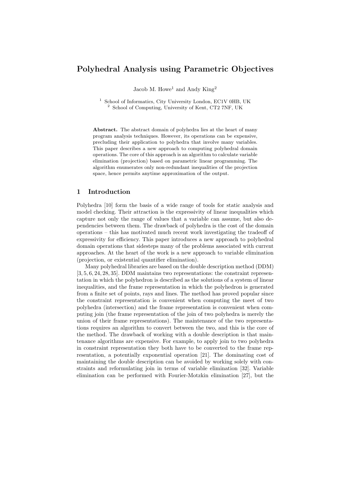## Polyhedral Analysis using Parametric Objectives

Jacob M. Howe<sup>1</sup> and Andy  $King<sup>2</sup>$ 

School of Informatics, City University London, EC1V 0HB, UK <sup>2</sup> School of Computing, University of Kent, CT2 7NF, UK

Abstract. The abstract domain of polyhedra lies at the heart of many program analysis techniques. However, its operations can be expensive, precluding their application to polyhedra that involve many variables. This paper describes a new approach to computing polyhedral domain operations. The core of this approach is an algorithm to calculate variable elimination (projection) based on parametric linear programming. The algorithm enumerates only non-redundant inequalities of the projection space, hence permits anytime approximation of the output.

## 1 Introduction

Polyhedra [10] form the basis of a wide range of tools for static analysis and model checking. Their attraction is the expressivity of linear inequalities which capture not only the range of values that a variable can assume, but also dependencies between them. The drawback of polyhedra is the cost of the domain operations – this has motivated much recent work investigating the tradeoff of expressivity for efficiency. This paper introduces a new approach to polyhedral domain operations that sidesteps many of the problems associated with current approaches. At the heart of the work is a new approach to variable elimination (projection, or existential quantifier elimination).

Many polyhedral libraries are based on the double description method (DDM) [3, 5, 6, 24, 28, 35]. DDM maintains two representations: the constraint representation in which the polyhedron is described as the solutions of a system of linear inequalities, and the frame representation in which the polyhedron is generated from a finite set of points, rays and lines. The method has proved popular since the constraint representation is convenient when computing the meet of two polyhedra (intersection) and the frame representation is convenient when computing join (the frame representation of the join of two polyhedra is merely the union of their frame representations). The maintenance of the two representations requires an algorithm to convert between the two, and this is the core of the method. The drawback of working with a double description is that maintenance algorithms are expensive. For example, to apply join to two polyhedra in constraint representation they both have to be converted to the frame representation, a potentially exponential operation [21]. The dominating cost of maintaining the double description can be avoided by working solely with constraints and reformulating join in terms of variable elimination [32]. Variable elimination can be performed with Fourier-Motzkin elimination [27], but the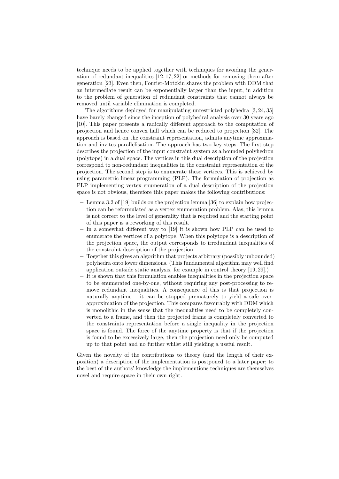technique needs to be applied together with techniques for avoiding the generation of redundant inequalities [12, 17, 22] or methods for removing them after generation [23]. Even then, Fourier-Motzkin shares the problem with DDM that an intermediate result can be exponentially larger than the input, in addition to the problem of generation of redundant constraints that cannot always be removed until variable elimination is completed.

The algorithms deployed for manipulating unrestricted polyhedra [3, 24, 35] have barely changed since the inception of polyhedral analysis over 30 years ago [10]. This paper presents a radically different approach to the computation of projection and hence convex hull which can be reduced to projection [32]. The approach is based on the constraint representation, admits anytime approximation and invites parallelisation. The approach has two key steps. The first step describes the projection of the input constraint system as a bounded polyhedron (polytope) in a dual space. The vertices in this dual description of the projection correspond to non-redundant inequalities in the constraint representation of the projection. The second step is to enumerate these vertices. This is achieved by using parametric linear programming (PLP). The formulation of projection as PLP implementing vertex enumeration of a dual description of the projection space is not obvious, therefore this paper makes the following contributions:

- Lemma 3.2 of [19] builds on the projection lemma [36] to explain how projection can be reformulated as a vertex enumeration problem. Alas, this lemma is not correct to the level of generality that is required and the starting point of this paper is a reworking of this result.
- In a somewhat different way to [19] it is shown how PLP can be used to enumerate the vertices of a polytope. When this polytope is a description of the projection space, the output corresponds to irredundant inequalities of the constraint description of the projection.
- Together this gives an algorithm that projects arbitrary (possibly unbounded) polyhedra onto lower dimensions. (This fundamental algorithm may well find application outside static analysis, for example in control theory [19, 29].)
- It is shown that this formulation enables inequalities in the projection space to be enumerated one-by-one, without requiring any post-processing to remove redundant inequalities. A consequence of this is that projection is naturally anytime – it can be stopped prematurely to yield a safe overapproximation of the projection. This compares favourably with DDM which is monolithic in the sense that the inequalities need to be completely converted to a frame, and then the projected frame is completely converted to the constraints representation before a single inequality in the projection space is found. The force of the anytime property is that if the projection is found to be excessively large, then the projection need only be computed up to that point and no further whilst still yielding a useful result.

Given the novelty of the contributions to theory (and the length of their exposition) a description of the implementation is postponed to a later paper; to the best of the authors' knowledge the implementions techniques are themselves novel and require space in their own right.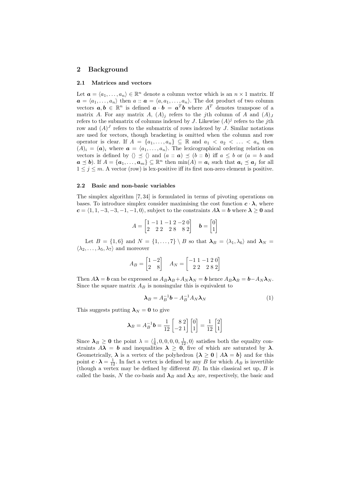## 2 Background

#### 2.1 Matrices and vectors

Let  $\boldsymbol{a} = \langle a_1, \ldots, a_n \rangle \in \mathbb{R}^n$  denote a column vector which is an  $n \times 1$  matrix. If  $a = \langle a_1, \ldots, a_n \rangle$  then  $a :: a = \langle a, a_1, \ldots, a_n \rangle$ . The dot product of two column vectors  $a, b \in \mathbb{R}^n$  is defined  $a \cdot b = a^Tb$  where  $A^T$  denotes transpose of a matrix A. For any matrix A,  $(A)_j$  refers to the jth column of A and  $(A)_J$ refers to the submatrix of columns indexed by J. Likewise  $(A)^j$  refers to the jth row and  $(A)^J$  refers to the submatrix of rows indexed by J. Similar notations are used for vectors, though bracketing is omitted when the column and row operator is clear. If  $A = \{a_1, \ldots, a_n\} \subseteq \mathbb{R}$  and  $a_1 < a_2 < \ldots < a_n$  then  $(A)_i = (a)_i$  where  $a = \langle a_1, \ldots, a_n \rangle$ . The lexicographical ordering relation on vectors is defined by  $\langle \rangle \preceq \langle \rangle$  and  $(a :: a) \preceq (b :: b)$  iff  $a \leq b$  or  $(a = b$  and  $a \preceq b$ ). If  $A = \{a_1, \ldots, a_m\} \subseteq \mathbb{R}^n$  then  $\min(A) = a_i$  such that  $a_i \preceq a_j$  for all  $1 \leq j \leq m$ . A vector (row) is lex-positive iff its first non-zero element is positive.

#### 2.2 Basic and non-basic variables

The simplex algorithm [7, 34] is formulated in terms of pivoting operations on bases. To introduce simplex consider maximising the cost function  $c \cdot \lambda$ , where  $c = \langle 1, 1, -3, -3, -1, -1, 0 \rangle$ , subject to the constraints  $A\lambda = b$  where  $\lambda \geq 0$  and

$$
A = \begin{bmatrix} 1 & -1 & 1 & -1 & 2 & -2 & 0 \\ 2 & 2 & 2 & 2 & 8 & 8 & 2 \end{bmatrix} \quad \mathbf{b} = \begin{bmatrix} 0 \\ 1 \end{bmatrix}
$$

Let  $B = \{1, 6\}$  and  $N = \{1, \ldots, 7\} \setminus B$  so that  $\lambda_B = \langle \lambda_1, \lambda_6 \rangle$  and  $\lambda_N =$  $\langle \lambda_2, \ldots, \lambda_5, \lambda_7 \rangle$  and moreover

$$
A_B = \begin{bmatrix} 1 & -2 \\ 2 & 8 \end{bmatrix} \quad A_N = \begin{bmatrix} -1 & 1 & -1 & 2 & 0 \\ 2 & 2 & 2 & 8 & 2 \end{bmatrix}
$$

Then  $A\lambda = b$  can be expressed as  $A_B\lambda_B + A_N\lambda_N = b$  hence  $A_B\lambda_B = b - A_N\lambda_N$ . Since the square matrix  $A_B$  is nonsingular this is equivalent to

$$
\lambda_B = A_B^{-1} \mathbf{b} - A_B^{-1} A_N \lambda_N \tag{1}
$$

This suggests putting  $\lambda_N = 0$  to give

$$
\lambda_B = A_B^{-1} \mathbf{b} = \frac{1}{12} \begin{bmatrix} 8 & 2 \\ -2 & 1 \end{bmatrix} \begin{bmatrix} 0 \\ 1 \end{bmatrix} = \frac{1}{12} \begin{bmatrix} 2 \\ 1 \end{bmatrix}
$$

Since  $\lambda_B \geq 0$  the point  $\lambda = \langle \frac{1}{6}, 0, 0, 0, 0, \frac{1}{12}, 0 \rangle$  satisfies both the equality constraints  $A\lambda = b$  and inequalities  $\lambda \geq 0$ , five of which are saturated by  $\lambda$ . Geometrically,  $\lambda$  is a vertex of the polyhedron  $\{\lambda \geq 0 \mid A\lambda = b\}$  and for this point  $c \cdot \lambda = \frac{1}{12}$ . In fact a vertex is defined by any B for which  $A_B$  is invertible (though a vertex may be defined by different  $B$ ). In this classical set up,  $B$  is called the basis, N the co-basis and  $\lambda_B$  and  $\lambda_N$  are, respectively, the basic and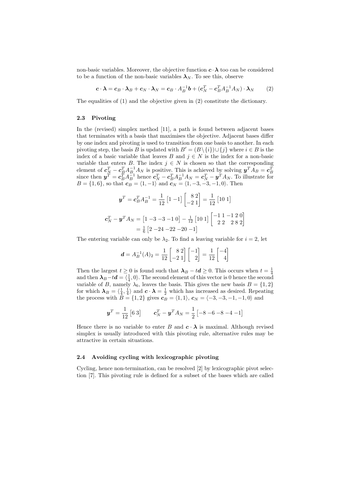non-basic variables. Moreover, the objective function  $c \cdot \lambda$  too can be considered to be a function of the non-basic variables  $\lambda_N$ . To see this, observe

$$
\boldsymbol{c} \cdot \boldsymbol{\lambda} = \boldsymbol{c}_B \cdot \boldsymbol{\lambda}_B + \boldsymbol{c}_N \cdot \boldsymbol{\lambda}_N = \boldsymbol{c}_B \cdot A_B^{-1} \boldsymbol{b} + (\boldsymbol{c}_N^T - \boldsymbol{c}_B^T A_B^{-1} A_N) \cdot \boldsymbol{\lambda}_N \qquad (2)
$$

The equalities of (1) and the objective given in (2) constitute the dictionary.

#### 2.3 Pivoting

In the (revised) simplex method [11], a path is found between adjacent bases that terminates with a basis that maximises the objective. Adjacent bases differ by one index and pivoting is used to transition from one basis to another. In each pivoting step, the basis B is updated with  $B' = (B\setminus\{i\})\cup\{j\}$  where  $i \in B$  is the index of a basic variable that leaves B and  $j \in N$  is the index for a non-basic variable that enters B. The index  $j \in N$  is chosen so that the corresponding element of  $\mathbf{c}_N^T - \mathbf{c}_B^T A_B^{-1} A_N$  is positive. This is achieved by solving  $\mathbf{y}^T A_B = \mathbf{c}_B^T$ <br>since then  $\mathbf{y}^T = \mathbf{c}_B^T A_B^{-1}$  hence  $\mathbf{c}_N^T - \mathbf{c}_B^T A_B^{-1} A_N = \mathbf{c}_N^T - \mathbf{y}^T A_N$ . To illustrate for  $B = \{1, 6\}$ , so that  $c_B = \langle 1, -1 \rangle$  and  $c_N = \langle 1, -3, -3, -1, 0 \rangle$ . Then

$$
\mathbf{y}^T = \mathbf{c}_B^T A_B^{-1} = \frac{1}{12} \begin{bmatrix} 1 & -1 \end{bmatrix} \begin{bmatrix} 8 & 2 \ -2 & 1 \end{bmatrix} = \frac{1}{12} \begin{bmatrix} 10 & 1 \end{bmatrix}
$$

$$
\mathbf{c}_N^T - \mathbf{y}^T A_N = \begin{bmatrix} 1 & -3 & -3 & -1 & 0 \end{bmatrix} - \frac{1}{12} \begin{bmatrix} 10 & 1 \end{bmatrix} \begin{bmatrix} -1 & 1 & -1 & 2 & 0 \ 2 & 2 & 2 & 8 & 2 \end{bmatrix}
$$

$$
= \frac{1}{6} \begin{bmatrix} 2 & -24 & -22 & -20 & -1 \end{bmatrix}
$$

The entering variable can only be  $\lambda_2$ . To find a leaving variable for  $i = 2$ , let

$$
\mathbf{d} = A_B^{-1}(A)_2 = \frac{1}{12} \begin{bmatrix} 8 & 2 \\ -2 & 1 \end{bmatrix} \begin{bmatrix} -1 \\ 2 \end{bmatrix} = \frac{1}{12} \begin{bmatrix} -4 \\ 4 \end{bmatrix}
$$

Then the largest  $t \geq 0$  is found such that  $\lambda_B - t d \geq 0$ . This occurs when  $t = \frac{1}{4}$ and then  $\lambda_B - t \mathbf{d} = \langle \frac{1}{4}, 0 \rangle$ . The second element of this vector is 0 hence the second variable of B, namely  $\lambda_6$ , leaves the basis. This gives the new basis  $B = \{1, 2\}$ for which  $\lambda_B = \langle \frac{1}{4}, \frac{1}{4} \rangle$  and  $c \cdot \lambda = \frac{1}{2}$  which has increased as desired. Repeating the process with  $B = \{1, 2\}$  gives  $c_B = \langle 1, 1 \rangle$ ,  $c_N = \langle -3, -3, -1, -1, 0 \rangle$  and

$$
\mathbf{y}^T = \frac{1}{12} \begin{bmatrix} 6 & 3 \end{bmatrix} \qquad \mathbf{c}_N^T - \mathbf{y}^T A_N = \frac{1}{2} \begin{bmatrix} -8 & -6 & -8 & -4 & -1 \end{bmatrix}
$$

Hence there is no variable to enter B and  $c \cdot \lambda$  is maximal. Although revised simplex is usually introduced with this pivoting rule, alternative rules may be attractive in certain situations.

#### 2.4 Avoiding cycling with lexicographic pivoting

Cycling, hence non-termination, can be resolved [2] by lexicographic pivot selection [7]. This pivoting rule is defined for a subset of the bases which are called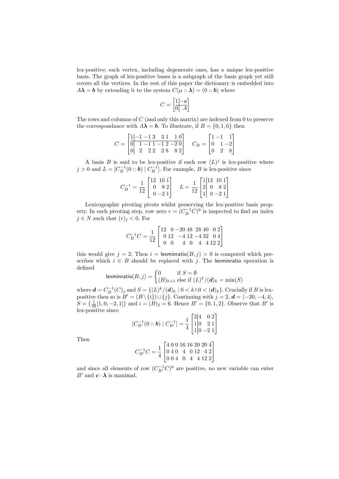lex-positive; each vertex, including degenerate ones, has a unique lex-positive basis. The graph of lex-positive bases is a subgraph of the basis graph yet still covers all the vertices. In the rest of this paper the dictionary is embedded into  $A\lambda = b$  by extending it to the system  $C(\mu : \lambda) = (0 : b)$  where

$$
C = \left[\begin{array}{c|c} 1 & -c \\ \hline 0 & A \end{array}\right]
$$

The rows and columns of  $C$  (and only this matrix) are indexed from 0 to preserve the correspondance with  $A\lambda = b$ . To illustrate, if  $B = \{0, 1, 6\}$  then

$$
C = \begin{bmatrix} \underline{1} | -1 \, -\, 1 \, \, 3 \, \, 3 \, \, 1 \, \, 1 \, \, 0 \\ 0 \, \, 1 \, \, -\, 1 \, \, 1 \, -\, 1 \, \, 2 \, -\, 2 \, \, 0 \\ 0 \, \, 2 \, \, 2 \, \, 2 \, \, 8 \, \, 8 \, \, 2 \end{bmatrix} \quad C_B = \begin{bmatrix} 1 \, -1 \, \, 1 \\ 0 \, \, 1 \, -\, 2 \\ 0 \, \, 2 \, \, 8 \end{bmatrix}
$$

A basis B is said to be lex-positive if each row  $(L)^j$  is lex-positive where  $j > 0$  and  $L = [C_B^{-1}(0::b) | C_B^{-1}]$ . For example, B is lex-positive since

$$
C_B^{-1} = \frac{1}{12} \begin{bmatrix} 12 & 10 & 1 \\ 0 & 8 & 2 \\ 0 & -2 & 1 \end{bmatrix} \quad L = \frac{1}{12} \begin{bmatrix} 1 & 12 & 10 & 1 \\ 2 & 0 & 8 & 2 \\ 1 & 0 & -2 & 1 \end{bmatrix}
$$

Lexicographic pivoting pivots whilst preserving the lex-positive basis property. In each pivoting step, row zero  $r = (C_B^{-1}C)^0$  is inspected to find an index  $j \in N$  such that  $(r)_j < 0$ . For

$$
C_B^{-1}C = \frac{1}{12} \begin{bmatrix} 12 & 0 & -20 & 48 & 28 & 40 & 0 & 2 \\ 0 & 12 & -4 & 12 & -4 & 32 & 0 & 4 \\ 0 & 0 & 4 & 0 & 4 & 4 & 12 & 2 \end{bmatrix}
$$

this would give  $j = 2$ . Then  $i =$  lexminratio( $B, j$ ) > 0 is computed which prescribes which  $i \in B$  should be replaced with j. The lexminratio operation is defined

$$
\text{lexminratio}(B, j) = \begin{cases} 0 & \text{if } S = \emptyset \\ (B)_{k+1} \text{ else if } (L)^k / (d)_k = \min(S) \end{cases}
$$

where  $\mathbf{d} = C_B^{-1}(C)_j$  and  $S = \{(L)^k/(\mathbf{d})_k \mid 0 < k \wedge 0 < (\mathbf{d})_k\}$ . Crucially if B is lexpositive then so is  $B' = (B \setminus \{i\}) \cup \{j\}$ . Continuing with  $j = 2$ ,  $d = \langle -20, -4, 4 \rangle$ ,  $S = \{\frac{1}{48}[1, 0, -2, 1]\}\$ and  $i = (B)_2 = 6$ . Hence  $B' = \{0, 1, 2\}$ . Observe that  $B'$  is lex-positive since

$$
[C_{B'}^{-1}(0::b) | C_{B'}^{-1}] = \frac{1}{4} \begin{bmatrix} 2|4 & 0 & 2\\ 1|0 & 2 & 1\\ 1|0 & -2 & 1 \end{bmatrix}
$$

Then

$$
C_{B'}^{-1}C = \frac{1}{4} \begin{bmatrix} 4 & 0 & 0 & 16 & 16 & 20 & 20 & 4 \\ 0 & 4 & 0 & 4 & 0 & 12 & 4 & 2 \\ 0 & 0 & 4 & 0 & 4 & 4 & 12 & 2 \end{bmatrix}
$$

and since all elements of row  $(C_{B'}^{-1}C)^{0}$  are positive, no new variable can enter  $B'$  and  $c \cdot \lambda$  is maximal.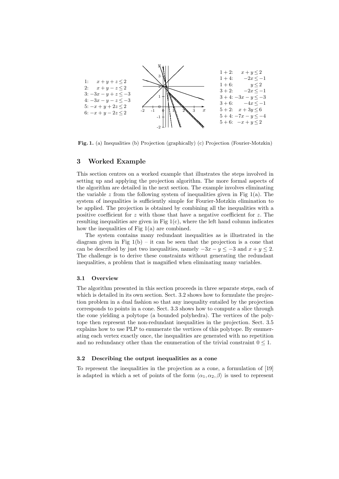

Fig. 1. (a) Inequalities (b) Projection (graphically) (c) Projection (Fourier-Motzkin)

## 3 Worked Example

This section centres on a worked example that illustrates the steps involved in setting up and applying the projection algorithm. The more formal aspects of the algorithm are detailed in the next section. The example involves eliminating the variable z from the following system of inequalities given in Fig  $1(a)$ . The system of inequalities is sufficiently simple for Fourier-Motzkin elimination to be applied. The projection is obtained by combining all the inequalities with a positive coefficient for z with those that have a negative coefficient for z. The resulting inequalities are given in Fig  $1(c)$ , where the left hand column indicates how the inequalities of Fig 1(a) are combined.

The system contains many redundant inequalities as is illustrated in the diagram given in Fig  $1(b)$  – it can be seen that the projection is a cone that can be described by just two inequalities, namely  $-3x - y \le -3$  and  $x + y \le 2$ . The challenge is to derive these constraints without generating the redundant inequalities, a problem that is magnified when eliminating many variables.

#### 3.1 Overview

The algorithm presented in this section proceeds in three separate steps, each of which is detailed in its own section. Sect. 3.2 shows how to formulate the projection problem in a dual fashion so that any inequality entailed by the projection corresponds to points in a cone. Sect. 3.3 shows how to compute a slice through the cone yielding a polytope (a bounded polyhedra). The vertices of the polytope then represent the non-redundant inequalities in the projection. Sect. 3.5 explains how to use PLP to enumerate the vertices of this polytope. By enumerating each vertex exactly once, the inequalities are generated with no repetition and no redundancy other than the enumeration of the trivial constraint  $0 \leq 1$ .

## 3.2 Describing the output inequalities as a cone

To represent the inequalities in the projection as a cone, a formulation of [19] is adapted in which a set of points of the form  $\langle \alpha_1, \alpha_2, \beta \rangle$  is used to represent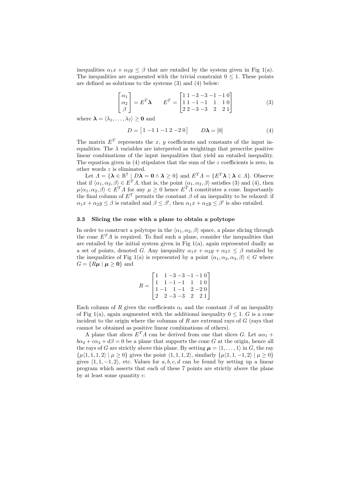inequalities  $\alpha_1 x + \alpha_2 y \leq \beta$  that are entailed by the system given in Fig 1(a). The inequalities are augmented with the trivial constraint  $0 \leq 1$ . These points are defined as solutions to the systems (3) and (4) below:

$$
\begin{bmatrix} \alpha_1 \\ \alpha_2 \\ \beta \end{bmatrix} = E^T \lambda \qquad E^T = \begin{bmatrix} 1 & 1 & -3 & -3 & -1 & -1 & 0 \\ 1 & 1 & -1 & -1 & 1 & 1 & 0 \\ 2 & 2 & -3 & -3 & 2 & 2 & 1 \end{bmatrix} \tag{3}
$$

where  $\lambda = \langle \lambda_1, \ldots, \lambda_7 \rangle \geq 0$  and

$$
D = [1 - 1 1 - 1 2 - 2 0] \qquad D\lambda = [0]
$$
 (4)

The matrix  $E^T$  represents the x, y coefficients and constants of the input inequalities. The  $\lambda$  variables are interpreted as weightings that prescribe positive linear combinations of the input inequalities that yield an entailed inequality. The equation given in  $(4)$  stipulates that the sum of the z coefficients is zero, in other words z is eliminated.

Let  $\Lambda = {\lambda \in \mathbb{R}^7 \mid D\lambda = 0 \land \lambda \ge 0}$  and  $E^T \Lambda = {E^T \lambda \mid \lambda \in \Lambda}$ . Observe that if  $\langle \alpha_1, \alpha_2, \beta \rangle \in E^{T} \Lambda$ , that is, the point  $\langle \alpha_1, \alpha_2, \beta \rangle$  satisfies (3) and (4), then  $\mu\langle\alpha_1, \alpha_2, \beta\rangle \in E^{T} \Lambda$  for any  $\mu \geq 0$  hence  $E^{T} \Lambda$  constitutes a cone. Importantly the final column of  $E^T$  permits the constant  $\beta$  of an inequality to be relaxed: if  $\alpha_1 x + \alpha_2 y \leq \beta$  is entailed and  $\beta \leq \beta'$ , then  $\alpha_1 x + \alpha_2 y \leq \beta'$  is also entailed.

#### 3.3 Slicing the cone with a plane to obtain a polytope

In order to construct a polytope in the  $\langle \alpha_1, \alpha_2, \beta \rangle$  space, a plane slicing through the cone  $E<sup>T</sup> \Lambda$  is required. To find such a plane, consider the inequalities that are entailed by the initial system given in Fig  $1(a)$ , again represented dually as a set of points, denoted G. Any inequality  $\alpha_1 x + \alpha_2 y + \alpha_3 z \leq \beta$  entailed by the inequalities of Fig 1(a) is represented by a point  $\langle \alpha_1, \alpha_2, \alpha_3, \beta \rangle \in G$  where  $G = \{R\mu \mid \mu \geq 0\}$  and

$$
R = \begin{bmatrix} 1 & 1 & -3 & -3 & -1 & -1 & 0 \\ 1 & 1 & -1 & -1 & 1 & 1 & 0 \\ 1 & -1 & 1 & -1 & 2 & -2 & 0 \\ 2 & 2 & -3 & -3 & 2 & 2 & 1 \end{bmatrix}
$$

Each column of R gives the coefficients  $\alpha_i$  and the constant  $\beta$  of an inequality of Fig 1(a), again augmented with the additional inequality  $0 \leq 1$ . G is a cone incident to the origin where the columns of R are extremal rays of  $G$  (rays that cannot be obtained as positive linear combinations of others).

A plane that slices  $E^T A$  can be derived from one that slices G. Let  $a\alpha_1 +$  $b\alpha_2 + c\alpha_3 + d\beta = 0$  be a plane that supports the cone G at the origin, hence all the rays of G are strictly above this plane. By setting  $\mu = \langle 1, \ldots, 1 \rangle$  in G, the ray  $\{\mu(1, 1, 1, 2) | \mu \geq 0\}$  gives the point  $\langle 1, 1, 1, 2 \rangle$ , similarly  $\{\mu(1, 1, -1, 2) | \mu \geq 0\}$ gives  $\langle 1, 1, -1, 2 \rangle$ , etc. Values for a, b, c, d can be found by setting up a linear program which asserts that each of these 7 points are strictly above the plane by at least some quantity  $\epsilon$ :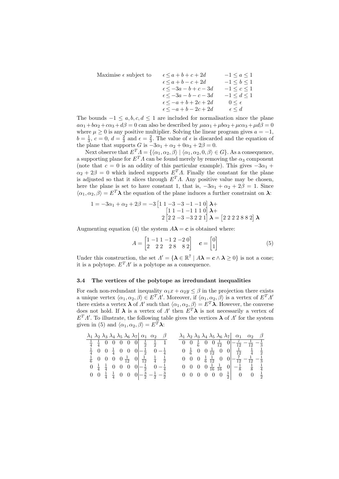Maximise  $\epsilon$  subject to  $\epsilon \leq a+b+c+2d$   $-1 \leq a \leq 1$ 

| cen na | $\mathfrak{c}\geq u\mp v\mp v\mp zu$ | $-1 > u > 1$       |
|--------|--------------------------------------|--------------------|
|        | $\epsilon \leq a+b-c+2d$             | $-1 \leq b \leq 1$ |
|        | $\epsilon \leq -3a - b + c - 3d$     | $-1 \leq c \leq 1$ |
|        | $\epsilon \leq -3a - b - c - 3d$     | $-1 < d < 1$       |
|        | $\epsilon \leq -a + b + 2c + 2d$     | $0 \leq \epsilon$  |
|        | $\epsilon \leq -a + b - 2c + 2d$     | $\epsilon \leq d$  |

The bounds  $-1 \leq a, b, c, d \leq 1$  are included for normalisation since the plane  $a\alpha_1 + b\alpha_2 + c\alpha_3 + d\beta = 0$  can also be described by  $\mu a\alpha_1 + \mu b\alpha_2 + \mu c\alpha_3 + \mu d\beta = 0$ where  $\mu \geq 0$  is any positive multiplier. Solving the linear program gives  $a = -1$ ,  $b = \frac{1}{3}$ ,  $c = 0$ ,  $d = \frac{2}{3}$  and  $\epsilon = \frac{2}{3}$ . The value of  $\epsilon$  is discarded and the equation of the plane that supports G is  $-3\alpha_1 + \alpha_2 + 0\alpha_3 + 2\beta = 0$ .

Next observe that  $E^T A = \{\langle \alpha_1, \alpha_2, \beta \rangle \mid \langle \alpha_1, \alpha_2, 0, \beta \rangle \in G\}$ . As a consequence, a supporting plane for  $E^T A$  can be found merely by removing the  $\alpha_3$  component (note that  $c = 0$  is an oddity of this particular example). This gives  $-3\alpha_1 +$  $\alpha_2 + 2\beta = 0$  which indeed supports  $E^T A$ . Finally the constant for the plane is adjusted so that it slices through  $E<sup>T</sup>$ *A*. Any positive value may be chosen, here the plane is set to have constant 1, that is,  $-3\alpha_1 + \alpha_2 + 2\beta = 1$ . Since  $\langle \alpha_1, \alpha_2, \beta \rangle = E^T \lambda$  the equation of the plane induces a further constraint on  $\lambda$ :

$$
1 = -3\alpha_1 + \alpha_2 + 2\beta = -3\begin{bmatrix} 1 & 1 & -3 & -3 & -1 & -1 & 0 \end{bmatrix} \begin{matrix} \lambda + \\ \lambda + \\ 2 & 2 & -3 & -3 & 2 & 2 & 1 \end{matrix} \begin{matrix} \lambda + \\ \lambda = \begin{bmatrix} 2 & 2 & 2 & 8 & 8 & 2 \end{bmatrix} \lambda \end{matrix}
$$

Augmenting equation (4) the system  $A\lambda = c$  is obtained where:

$$
A = \begin{bmatrix} 1 & -1 & 1 & -1 & 2 & -2 & 0 \\ 2 & 2 & 2 & 2 & 8 & 8 & 2 \end{bmatrix} \quad \mathbf{c} = \begin{bmatrix} 0 \\ 1 \end{bmatrix} \tag{5}
$$

Under this construction, the set  $\Lambda' = {\lambda \in \mathbb{R}^7 \mid A\lambda = c \land \lambda \ge 0}$  is not a cone; it is a polytope.  $E^T A'$  is a polytope as a consequence.

#### 3.4 The vertices of the polytope as irredundant inequalities

For each non-redundant inequality  $\alpha_1 x + \alpha_2 y \leq \beta$  in the projection there exists a unique vertex  $\langle \alpha_1, \alpha_2, \beta \rangle \in E^{T} \Lambda'$ . Moreover, if  $\langle \alpha_1, \alpha_2, \beta \rangle$  is a vertex of  $E^{T} \Lambda'$ there exists a vertex  $\lambda$  of  $\Lambda'$  such that  $\langle \alpha_1, \alpha_2, \beta \rangle = E^T \lambda$ . However, the converse does not hold. If  $\lambda$  is a vertex of  $\Lambda'$  then  $E^T\lambda$  is not necessarily a vertex of  $E<sup>T</sup> \Lambda'$ . To illustrate, the following table gives the vertices  $\lambda$  of  $\Lambda'$  for the system given in (5) and  $\langle \alpha_1, \alpha_2, \beta \rangle = E^T \lambda$ :

|  |  |  |  | $\lambda_1$ $\lambda_2$ $\lambda_3$ $\lambda_4$ $\lambda_5$ $\lambda_6$ $\lambda_7$ $\alpha_1$ $\alpha_2$ $\beta$ |  |  |  |  |  | $\lambda_1$ $\lambda_2$ $\lambda_3$ $\lambda_4$ $\lambda_5$ $\lambda_6$ $\lambda_7$ $\alpha_1$ $\alpha_2$ $\beta$         |  |
|--|--|--|--|-------------------------------------------------------------------------------------------------------------------|--|--|--|--|--|---------------------------------------------------------------------------------------------------------------------------|--|
|  |  |  |  | $\frac{1}{4}$ $\frac{1}{4}$ 0 0 0 0 0 $\frac{1}{2}$ $\frac{1}{2}$ 1                                               |  |  |  |  |  | 0 0 $\frac{1}{6}$ 0 0 $\frac{1}{12}$ 0 $\left -\frac{7}{12} - \frac{1}{12} - \frac{1}{3}\right $                          |  |
|  |  |  |  | $\frac{1}{4}$ 0 0 $\frac{1}{4}$ 0 0 0 $\left -\frac{1}{2}\right $ 0 $\left -\frac{1}{4}\right $                   |  |  |  |  |  | $0 \frac{1}{6} \quad 0 \quad 0 \quad \frac{1}{12} \quad 0 \quad 0 \quad \frac{1}{12} \quad \frac{1}{4} \quad \frac{1}{2}$ |  |
|  |  |  |  | $\frac{1}{6}$ 0 0 0 $\frac{1}{12}$ 0 $\frac{1}{12}$ $\frac{1}{4}$ $\frac{1}{2}$                                   |  |  |  |  |  | 0 0 0 $\frac{1}{6}$ $\frac{1}{12}$ 0 $0$ $\left -\frac{7}{12} - \frac{1}{12} - \frac{1}{3}\right $                        |  |
|  |  |  |  | $0 \frac{1}{4} \frac{1}{4} 0 0 0 0  \begin{matrix} -\frac{1}{2} & 0 & -\frac{1}{4} \end{matrix}$                  |  |  |  |  |  | 0 0 0 0 $\frac{1}{16}$ $\frac{1}{16}$ 0 $-\frac{1}{8}$ $\frac{1}{8}$ $\frac{1}{4}$                                        |  |
|  |  |  |  | 0 0 $\frac{1}{4}$ $\frac{1}{4}$ 0 0 $0$ $\left -\frac{3}{2}-\frac{1}{2}-\frac{3}{2}\right $                       |  |  |  |  |  | $0 \t0 \t0 \t0 \t0 \t0 \t\frac{1}{2}$ 0 0 $\frac{1}{2}$                                                                   |  |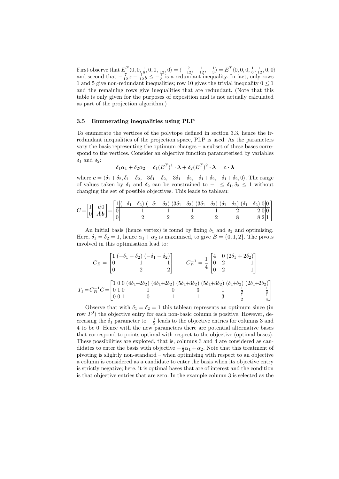First observe that  $E_7^T\langle 0, 0, \frac{1}{6}, 0, 0, \frac{1}{12}, 0 \rangle = \langle -\frac{7}{12}, -\frac{1}{12}, -\frac{1}{3} \rangle = E^T\langle 0, 0, 0, \frac{1}{6}, \frac{1}{12}, 0, 0 \rangle$ and second that  $-\frac{7}{12}x - \frac{1}{12}y \leq -\frac{1}{3}$  is a redundant inequality. In fact, only rows 1 and 5 give non-redundant inequalities; row 10 gives the trivial inequality  $0 \leq 1$ and the remaining rows give inequalities that are redundant. (Note that this table is only given for the purposes of exposition and is not actually calculated as part of the projection algorithm.)

#### 3.5 Enumerating inequalities using PLP

To enumerate the vertices of the polytope defined in section 3.3, hence the irredundant inequalities of the projection space, PLP is used. As the parameters vary the basis representing the optimum changes – a subset of these bases correspond to the vertices. Consider an objective function parameterised by variables  $\delta_1$  and  $\delta_2$ :

$$
\delta_1 \alpha_1 + \delta_2 \alpha_2 = \delta_1 (E^T)^1 \cdot \boldsymbol{\lambda} + \delta_2 (E^T)^2 \cdot \boldsymbol{\lambda} = \boldsymbol{c} \cdot \boldsymbol{\lambda}
$$

where  $c = \langle \delta_1 + \delta_2, \delta_1 + \delta_2, -3\delta_1 - \delta_2, -3\delta_1 - \delta_2, -\delta_1 + \delta_2, -\delta_1 + \delta_2, 0 \rangle$ . The range of values taken by  $\delta_1$  and  $\delta_2$  can be constrained to  $-1 \leq \delta_1, \delta_2 \leq 1$  without changing the set of possible objectives. This leads to tableau:

$$
C = \begin{bmatrix} \frac{1}{\rho} - \frac{d}{\rho} \\ 0 & \frac{d}{\rho} \end{bmatrix} = \begin{bmatrix} \frac{1}{\rho} \begin{bmatrix} -\delta_1 - \delta_2 & -\delta_1 - \delta_2 & 3\delta_1 + \delta_2 & 3\delta_1 + \delta_2 & 3\delta_1 + \delta_2 & 6\delta_1 - \delta_2 & 0 & 0 \\ 0 & 1 & -1 & 1 & -1 & 2 & -2 & 0 \\ 0 & 2 & 2 & 2 & 2 & 8 & 8 & 2 & 1 \end{bmatrix} \end{bmatrix}
$$

An initial basis (hence vertex) is found by fixing  $\delta_1$  and  $\delta_2$  and optimising. Here,  $\delta_1 = \delta_2 = 1$ , hence  $\alpha_1 + \alpha_2$  is maximised, to give  $B = \{0, 1, 2\}$ . The pivots involved in this optimisation lead to:

$$
C_B = \begin{bmatrix} 1 & (-\delta_1 - \delta_2) & (-\delta_1 - \delta_2) \\ 0 & 1 & -1 \\ 0 & 2 & 2 \end{bmatrix} \qquad C_B^{-1} = \frac{1}{4} \begin{bmatrix} 4 & 0 & (2\delta_1 + 2\delta_2) \\ 0 & 2 & 1 \\ 0 & -2 & 1 \end{bmatrix}
$$
\n
$$
T_1 = C_B^{-1} C = \begin{bmatrix} 1 & 0 & 0 & (4\delta_1 + 2\delta_2) & (4\delta_1 + 2\delta_2) & (5\delta_1 + 3\delta_2) & (5\delta_1 + 3\delta_2) & (5\delta_1 + 3\delta_2) & (5\delta_1 + 3\delta_2) & (5\delta_1 + 3\delta_2) & (5\delta_1 + 3\delta_2) & (5\delta_1 + 3\delta_2) & (5\delta_1 + 3\delta_2) & (5\delta_1 + 3\delta_2) & (5\delta_1 + 3\delta_2) & (5\delta_1 + 3\delta_2) & (5\delta_1 + 3\delta_2) & (5\delta_1 + 3\delta_2) & (5\delta_1 + 3\delta_2) & (5\delta_1 + 3\delta_2) & (5\delta_1 + 3\delta_2) & (5\delta_1 + 3\delta_2) & (5\delta_1 + 3\delta_2) & (5\delta_1 + 3\delta_2) & (5\delta_1 + 3\delta_2) & (5\delta_1 + 3\delta_2) & (5\delta_1 + 3\delta_2) & (5\delta_1 + 3\delta_2) & (5\delta_1 + 3\delta_2) & (5\delta_1 + 3\delta_2) & (5\delta_1 + 3\delta_2) & (5\delta_1 + 3\delta_2) & (5\delta_1 + 3\delta_2) & (5\delta_1 + 3\delta_2) & (5\delta_1 + 3\delta_2) & (5\delta_1 + 3\delta_2) & (5\delta_1 +
$$

Observe that with  $\delta_1 = \delta_2 = 1$  this tableau represents an optimum since (in row  $T_1^0$ ) the objective entry for each non-basic column is positive. However, decreasing the  $\delta_1$  parameter to  $-\frac{1}{2}$  leads to the objective entries for columns 3 and 4 to be 0. Hence with the new parameters there are potential alternative bases that correspond to points optimal with respect to the objective (optimal bases). These possibilities are explored, that is, columns 3 and 4 are considered as candidates to enter the basis with objective  $-\frac{1}{2}\alpha_1 + \alpha_2$ . Note that this treatment of pivoting is slightly non-standard – when optimising with respect to an objective a column is considered as a candidate to enter the basis when its objective entry is strictly negative; here, it is optimal bases that are of interest and the condition is that objective entries that are zero. In the example column 3 is selected as the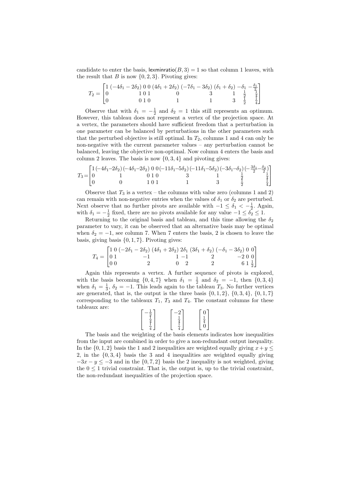candidate to enter the basis, lexminratio( $B$ , 3) = 1 so that column 1 leaves, with the result that B is now  $\{0, 2, 3\}$ . Pivoting gives:

$$
T_2 = \begin{bmatrix} 1 & (-4\delta_1 - 2\delta_2) & 0 & 0 & (4\delta_1 + 2\delta_2) & (-7\delta_1 - 3\delta_2) & (\delta_1 + \delta_2) & -\delta_1 & -\frac{\delta_1}{2} \\ 0 & 1 & 0 & 0 & 3 & 1 & \frac{1}{2} & \frac{1}{4} \\ 0 & 0 & 1 & 0 & 1 & 1 & 3 & \frac{1}{2} & \frac{1}{4} \end{bmatrix}
$$

Observe that with  $\delta_1 = -\frac{1}{2}$  and  $\delta_2 = 1$  this still represents an optimum. However, this tableau does not represent a vertex of the projection space. At a vertex, the parameters should have sufficient freedom that a perturbation in one parameter can be balanced by perturbations in the other parameters such that the perturbed objective is still optimal. In  $T_2$ , columns 1 and 4 can only be non-negative with the current parameter values – any perturbation cannot be balanced, leaving the objective non-optimal. Now column 4 enters the basis and column 2 leaves. The basis is now  $\{0, 3, 4\}$  and pivoting gives:

$$
T_3=\begin{bmatrix} 1\left(-4\delta_1-2\delta_2\right) \left(-4\delta_1-2\delta_2\right) \ 0 \ 0 \left(-11\delta_1-5\delta_2\right) \left(-11\delta_1-5\delta_2\right) \left(-3\delta_1-\delta_2\right) \left(-\frac{3\delta_1}{2}-\frac{\delta_2}{2}\right) \\ 0 \ 1 \ 0 \ 0 \ 1 \ 0 \ 1 \ 1 \ 1 \ 3 \ \ \, \frac{1}{2} \ \ \, \frac{1}{4} \end{bmatrix}
$$

Observe that  $T_3$  is a vertex – the columns with value zero (columns 1 and 2) can remain with non-negative entries when the values of  $\delta_1$  or  $\delta_2$  are perturbed. Next observe that no further pivots are available with  $-1 \leq \delta_1 < -\frac{1}{2}$ . Again, with  $\delta_1 = -\frac{1}{2}$  fixed, there are no pivots available for any value  $-1 \le \delta_2 \le 1$ .

Returning to the original basis and tableau, and this time allowing the  $\delta_2$ parameter to vary, it can be observed that an alternative basis may be optimal when  $\delta_2 = -1$ , see column 7. When 7 enters the basis, 2 is chosen to leave the basis, giving basis  $\{0, 1, 7\}$ . Pivoting gives:

$$
T_4 = \begin{bmatrix} 1 & 0 & (-2\delta_1 - 2\delta_2) & (4\delta_1 + 2\delta_2) & 2\delta_1 & (3\delta_1 + \delta_2) & (-\delta_1 - 3\delta_2) & 0 & 0 \\ 0 & 1 & -1 & 1 & -1 & 2 & -2 & 0 \\ 0 & 0 & 2 & 0 & 2 & 6 & 1 \frac{1}{2} \end{bmatrix}
$$

Again this represents a vertex. A further sequence of pivots is explored, with the basis becoming  $\{0, 4, 7\}$  when  $\delta_1 = \frac{1}{2}$  and  $\delta_2 = -1$ , then  $\{0, 3, 4\}$ when  $\delta_1 = \frac{1}{3}, \delta_2 = -1$ . This leads again to the tableau  $T_3$ . No further vertices are generated, that is, the output is the three basis  $\{0, 1, 2\}$ ,  $\{0, 3, 4\}$ ,  $\{0, 1, 7\}$ corresponding to the tableaux  $T_1$ ,  $T_3$  and  $T_4$ . The constant columns for these tableaux are:

| <b>A</b> |                | 0 |
|----------|----------------|---|
|          | $\overline{1}$ |   |
|          |                |   |
|          |                |   |

The basis and the weighting of the basis elements indicates how inequalities from the input are combined in order to give a non-redundant output inequality. In the  $\{0, 1, 2\}$  basis the 1 and 2 inequalities are weighted equally giving  $x + y \leq$ 2, in the  $\{0,3,4\}$  basis the 3 and 4 inequalities are weighted equally giving  $-3x - y \leq -3$  and in the  $\{0, 7, 2\}$  basis the 2 inequality is not weighted, giving the  $0 \leq 1$  trivial constraint. That is, the output is, up to the trivial constraint. the non-redundant inequalities of the projection space.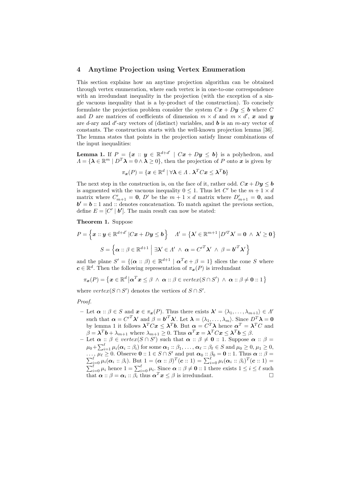#### 4 Anytime Projection using Vertex Enumeration

This section explains how an anytime projection algorithm can be obtained through vertex enumeration, where each vertex is in one-to-one correspondence with an irredundant inequality in the projection (with the exception of a single vacuous inequality that is a by-product of the construction). To concisely formulate the projection problem consider the system  $Cx + Dy \leq b$  where C and D are matrices of coefficients of dimension  $m \times d$  and  $m \times d'$ , x and y are d-ary and  $d'$ -ary vectors of (distinct) variables, and  $\boldsymbol{b}$  is an m-ary vector of constants. The construction starts with the well-known projection lemma [36]. The lemma states that points in the projection satisfy linear combinations of the input inequalities:

**Lemma 1.** If  $P = \{x : y \in \mathbb{R}^{d+d'} \mid Cx + Dy \leq b\}$  is a polyhedron, and  $\Lambda = {\mathbf{\lbrace \lambda \in \mathbb{R}^m \mid D^T\lambda = 0 \land \lambda \geq 0 \rbrace}}$ , then the projection of P onto x is given by

$$
\pi_{\boldsymbol{x}}(P) = \{ \boldsymbol{x} \in \mathbb{R}^d \mid \forall \boldsymbol{\lambda} \in \Lambda \ . \ \boldsymbol{\lambda}^T C \boldsymbol{x} \leq \boldsymbol{\lambda}^T \boldsymbol{b} \}
$$

The next step in the construction is, on the face of it, rather odd.  $Cx + Dy \leq b$ is augmented with the vacuous inequality  $0 \leq 1$ . Thus let C' be the  $m + 1 \times d$ matrix where  $C'_{m+1} = 0$ , D' be the  $m + 1 \times d$  matrix where  $D'_{m+1} = 0$ , and  $b' = b$ : 1 and :: denotes concatenation. To match against the previous section, define  $E = [C' | b']$ . The main result can now be stated:

Theorem 1. Suppose

$$
P = \left\{ \boldsymbol{x} \, : \, \boldsymbol{y} \in \mathbb{R}^{d+d'} \, | C \boldsymbol{x} + D \boldsymbol{y} \le \boldsymbol{b} \right\} \quad A' = \left\{ \boldsymbol{\lambda}' \in \mathbb{R}^{m+1} \, \big| D'^T \boldsymbol{\lambda}' = \boldsymbol{0} \, \wedge \, \boldsymbol{\lambda}' \ge \boldsymbol{0} \right\}
$$
\n
$$
S = \left\{ \boldsymbol{\alpha} \, : \, \beta \in \mathbb{R}^{d+1} \, \big| \, \exists \boldsymbol{\lambda}' \in \Lambda' \, \wedge \, \boldsymbol{\alpha} = C'^T \boldsymbol{\lambda}' \, \wedge \, \beta = \boldsymbol{b}'^T \boldsymbol{\lambda}' \right\}
$$

and the plane  $S' = \{(\boldsymbol{\alpha} : \beta) \in \mathbb{R}^{d+1} \mid \boldsymbol{\alpha}^T \boldsymbol{c} + \beta = 1\}$  slices the cone S where  $c \in \mathbb{R}^d$ . Then the following representation of  $\pi_x(P)$  is irredundant

$$
\pi_{\boldsymbol{x}}(P) = \{ \boldsymbol{x} \in \mathbb{R}^d \, \big| \, \boldsymbol{\alpha}^T \boldsymbol{x} \leq \beta \ \wedge \ \boldsymbol{\alpha} : \beta \in \text{vertex}(S \cap S') \ \wedge \ \boldsymbol{\alpha} : \beta \neq \boldsymbol{0} : 1 \}
$$

where  $vertex(S \cap S')$  denotes the vertices of  $S \cap S'$ .

Proof.

- Let  $\alpha$  ::  $\beta \in S$  and  $\mathbf{x} \in \pi_{\mathbf{x}}(P)$ . Thus there exists  $\lambda' = \langle \lambda_1, \ldots, \lambda_{m+1} \rangle \in \Lambda'$ such that  $\boldsymbol{\alpha} = {C'}^T \boldsymbol{\lambda}'$  and  $\beta = {\boldsymbol{b}'}^T \boldsymbol{\lambda}'$ . Let  $\boldsymbol{\lambda} = \langle \lambda_1, \ldots, \lambda_m \rangle$ . Since  $D^T \boldsymbol{\lambda} = \mathbf{0}$ by lemma 1 it follows  $\lambda^T C x \leq \lambda^T b$ . But  $\alpha = C^T \lambda$  hence  $\alpha^T = \lambda^T C$  and  $\beta = \boldsymbol{\lambda}^T \boldsymbol{b} + \lambda_{m+1}$  where  $\lambda_{m+1} \geq 0$ . Thus  $\boldsymbol{\alpha}^T \boldsymbol{x} = \boldsymbol{\lambda}^T C \boldsymbol{x} \leq \boldsymbol{\lambda}^T \boldsymbol{b} \leq \beta$ .
- $-$  Let  $\alpha :: \beta \in vertex(S \cap S')$  such that  $\alpha :: \beta \neq 0 :: 1$ . Suppose  $\alpha :: \beta =$  $\mu_0+\sum_{i=1}^\ell\mu_i(\boldsymbol{\alpha}_i::\beta_i) \text{ for some } \boldsymbol{\alpha}_1::\beta_1,\ldots,\boldsymbol{\alpha}_\ell::\beta_\ell\in S \text{ and } \mu_0\geq 0,\mu_1\geq 0,$  $\ldots, \mu_{\ell} \geq 0$ . Observe  $\mathbf{0} :: 1 \in S \cap S'$ P  $\begin{array}{l} \alpha_i, \mu_{\ell} \geq 0. \text{ Observe } \mathbf{0} :: 1 \in S \cap S' \text{ and put } \mathbf{\alpha}_0 :: \beta_0 = \mathbf{0} :: 1. \text{ Thus } \mathbf{\alpha} :: \beta = i_{i=0} \mu_i(\mathbf{\alpha}_i :: \beta_i). \text{ But } 1 = (\mathbf{\alpha} :: \beta)^T (\mathbf{c} :: 1) = \sum_{i=0}^{\ell} \mu_i(\mathbf{\alpha}_i :: \beta_i)^T (\mathbf{c} :: 1) = i_{i=0} \mu_i(\mathbf{\alpha}_i :: \beta_i). \end{array}$  $\sum_{i=0}^{\ell} \mu_i$  hence  $1 = \sum_{i=0}^{\ell} \mu_i$ . Since  $\boldsymbol{\alpha} :: \beta \neq \mathbf{0} :: 1$  there exists  $1 \leq i \leq \ell$  such that  $\alpha$  ::  $\beta = \alpha_i$  ::  $\beta_i$  thus  $\alpha^T x \leq \beta$  is irredundant.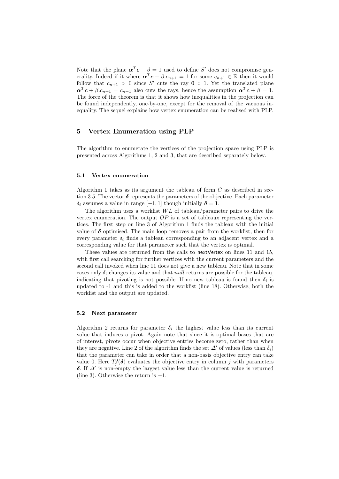Note that the plane  $\alpha^T c + \beta = 1$  used to define S' does not compromise generality. Indeed if it where  $\alpha^T c + \beta.c_{n+1} = 1$  for some  $c_{n+1} \in \mathbb{R}$  then it would follow that  $c_{n+1} > 0$  since S' cuts the ray  $\mathbf{0} :: 1$ . Yet the translated plane  $\boldsymbol{\alpha}^T \boldsymbol{c} + \beta.c_{n+1} = c_{n+1}$  also cuts the rays, hence the assumption  $\boldsymbol{\alpha}^T \boldsymbol{c} + \beta = 1$ . The force of the theorem is that it shows how inequalities in the projection can be found independently, one-by-one, except for the removal of the vacuous inequality. The sequel explains how vertex enumeration can be realised with PLP.

## 5 Vertex Enumeration using PLP

The algorithm to enumerate the vertices of the projection space using PLP is presented across Algorithms 1, 2 and 3, that are described separately below.

#### 5.1 Vertex enumeration

Algorithm 1 takes as its argument the tableau of form  $C$  as described in section 3.5. The vector  $\delta$  represents the parameters of the objective. Each parameter  $\delta_i$  assumes a value in range [−1, 1] though initially  $\delta = 1$ .

The algorithm uses a worklist  $WL$  of tableau/parameter pairs to drive the vertex enumeration. The output  $OP$  is a set of tableaux representing the vertices. The first step on line 3 of Algorithm 1 finds the tableau with the initial value of  $\delta$  optimised. The main loop removes a pair from the worklist, then for every parameter  $\delta_i$  finds a tableau corresponding to an adjacent vertex and a corresponding value for that parameter such that the vertex is optimal.

These values are returned from the calls to nextVertex on lines 11 and 15, with first call searching for further vertices with the current parameters and the second call invoked when line 11 does not give a new tableau. Note that in some cases only  $\delta_i$  changes its value and that *null* returns are possible for the tableau, indicating that pivoting is not possible. If no new tableau is found then  $\delta_i$  is updated to -1 and this is added to the worklist (line 18). Otherwise, both the worklist and the output are updated.

#### 5.2 Next parameter

Algorithm 2 returns for parameter  $\delta_i$  the highest value less than its current value that induces a pivot. Again note that since it is optimal bases that are of interest, pivots occur when objective entries become zero, rather than when they are negative. Line 2 of the algorithm finds the set  $\Delta'$  of values (less than  $\delta_i$ ) that the parameter can take in order that a non-basis objective entry can take value 0. Here  $T_j^0(\boldsymbol{\delta})$  evaluates the objective entry in column j with parameters δ. If  $\Delta'$  is non-empty the largest value less than the current value is returned (line 3). Otherwise the return is  $-1$ .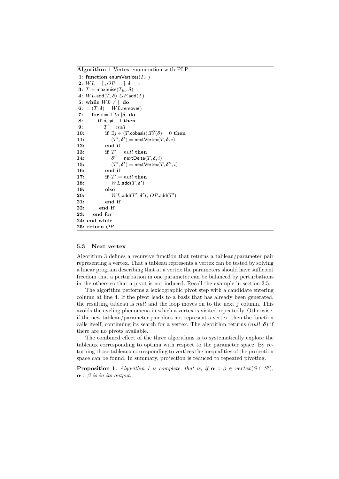Algorithm 1 Vertex enumeration with PLP

```
1: function enumVertices(T_{in})2: WL = [], OP = [], \delta = 13: T = \text{maximize}(T_{in}, \delta)4: WL.add(T, \delta), OP.add(T)5: while WL \neq || do
6: (T, \delta) = WL.remove()
7: for i = 1 to |\delta| do
8: if \delta_i \neq -1 then
9:T^{\prime}=null10: if \exists j \in (T.\mathsf{cobasis}).T_j^0(\delta) = 0 then
11: (T', \delta') = \text{nextVertex}(T, \delta, i)12: end if
13: if T' = null then
14:
               \delta'' = nextDelta(T, \delta, i)15:\mathcal{O}'=\mathsf{nextVertex}(T, \boldsymbol{\delta}'', i)16: end if
17: if T' = null then
18: WL \cdot add(T, \delta')19: else
20: WL.\text{add}(T', \delta'), \text{OP}.\text{add}(T')21: end if
22: end if
23: end for
24: end while
25: return OP
```
#### 5.3 Next vertex

Algorithm 3 defines a recursive function that returns a tableau/parameter pair representing a vertex. That a tableau represents a vertex can be tested by solving a linear program describing that at a vertex the parameters should have sufficient freedom that a perturbation in one parameter can be balanced by perturbations in the others so that a pivot is not induced. Recall the example in section 3.5.

The algorithm performs a lexicographic pivot step with a candidate entering column at line 4. If the pivot leads to a basis that has already been generated, the resulting tableau is *null* and the loop moves on to the next  $j$  column. This avoids the cycling phenomena in which a vertex is visited repeatedly. Otherwise, if the new tableau/parameter pair does not represent a vertex, then the function calls itself, continuing its search for a vertex. The algorithm returns  $(null, \delta)$  if there are no pivots available.

The combined effect of the three algorithms is to systematically explore the tableaux corresponding to optima with respect to the parameter space. By returning those tableaux corresponding to vertices the inequalities of the projection space can be found. In summary, projection is reduced to repeated pivoting.

**Proposition 1.** Algorithm 1 is complete, that is, if  $\alpha :: \beta \in vertex(S \cap S')$ ,  $\alpha$  ::  $\beta$  is in its output.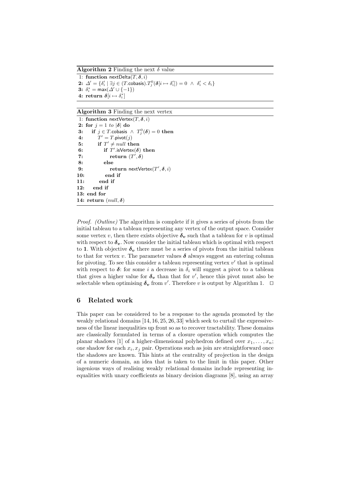**Algorithm 2** Finding the next  $\delta$  value

1: function  $nextDelta(T, \delta, i)$  $\mathbf{2:}~~\Delta'=\{\delta_i' \mid \exists j\in (T.\mathsf{cobasis}).T_j^0(\boldsymbol{\delta}[i\mapsto \delta_i'])=0~~\wedge~~\delta_i'<\delta_i\}$ 3:  $\delta_i^* = \max(\Delta' \cup \{-1\})$ 4: return  $\delta[i \mapsto \delta_i^*]$ 

Algorithm 3 Finding the next vertex

1: function nextVertex $(T, \delta, i)$ 2: for  $j = 1$  to  $|\delta|$  do **3:** if  $j \in T$ .cobasis  $\land T^0_j(\delta) = 0$  then  $4:$  $T^\prime = T.\mathsf{pivot}(j)$ 5: if  $T' \neq null$  then 6: if  $T'.\textsf{isVertex}(\delta)$  then 7: return  $(T', \delta)$ 8: else 9: return nextVertex $(T', \delta, i)$ 10: end if 11: end if 12: end if 13: end for 14: return  $(null, \delta)$ 

Proof. (Outline) The algorithm is complete if it gives a series of pivots from the initial tableau to a tableau representing any vertex of the output space. Consider some vertex v, then there exists objective  $\delta_v$  such that a tableau for v is optimal with respect to  $\delta_{\eta}$ . Now consider the initial tableau which is optimal with respect to 1. With objective  $\delta_n$ , there must be a series of pivots from the initial tableau to that for vertex v. The parameter values  $\delta$  always suggest an entering column for pivoting. To see this consider a tableau representing vertex  $v'$  that is optimal with respect to  $\delta$ : for some i a decrease in  $\delta_i$  will suggest a pivot to a tableau that gives a higher value for  $\delta_v$  than that for v', hence this pivot must also be selectable when optimising  $\delta_v$  from  $v'$ . Therefore v is output by Algorithm 1.  $\Box$ 

## 6 Related work

This paper can be considered to be a response to the agenda promoted by the weakly relational domains [14, 16, 25, 26, 33] which seek to curtail the expressiveness of the linear inequalities up front so as to recover tractability. These domains are classically formulated in terms of a closure operation which computes the planar shadows [1] of a higher-dimensional polyhedron defined over  $x_1, \ldots, x_n$ ; one shadow for each  $x_i, x_j$  pair. Operations such as join are straightforward once the shadows are known. This hints at the centrality of projection in the design of a numeric domain, an idea that is taken to the limit in this paper. Other ingenious ways of realising weakly relational domains include representing inequalities with unary coefficients as binary decision diagrams [8], using an array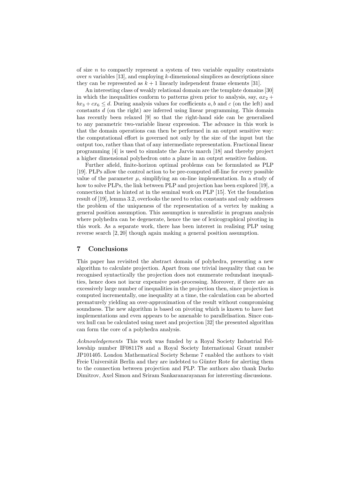of size  $n$  to compactly represent a system of two variable equality constraints over n variables [13], and employing k-dimensional simplices as descriptions since they can be represented as  $k + 1$  linearly independent frame elements [31].

An interesting class of weakly relational domain are the template domains [30] in which the inequalities conform to patterns given prior to analysis, say,  $ax_2 +$  $bx_3 + cx_6 \le d$ . During analysis values for coefficients a, b and c (on the left) and constants d (on the right) are inferred using linear programming. This domain has recently been relaxed [9] so that the right-hand side can be generalised to any parametric two-variable linear expression. The advance in this work is that the domain operations can then be performed in an output sensitive way: the computational effort is governed not only by the size of the input but the output too, rather than that of any intermediate representation. Fractional linear programming [4] is used to simulate the Jarvis march [18] and thereby project a higher dimensional polyhedron onto a plane in an output sensitive fashion.

Further afield, finite-horizon optimal problems can be formulated as PLP [19]. PLPs allow the control action to be pre-computed off-line for every possible value of the parameter  $\mu$ , simplifying an on-line implementation. In a study of how to solve PLPs, the link between PLP and projection has been explored [19], a connection that is hinted at in the seminal work on PLP [15]. Yet the foundation result of [19], lemma 3.2, overlooks the need to relax constants and only addresses the problem of the uniqueness of the representation of a vertex by making a general position assumption. This assumption is unrealistic in program analysis where polyhedra can be degenerate, hence the use of lexicographical pivoting in this work. As a separate work, there has been interest in realising PLP using reverse search [2, 20] though again making a general position assumption.

## 7 Conclusions

This paper has revisited the abstract domain of polyhedra, presenting a new algorithm to calculate projection. Apart from one trivial inequality that can be recognised syntactically the projection does not enumerate redundant inequalities, hence does not incur expensive post-processing. Moreover, if there are an excessively large number of inequalities in the projection then, since projection is computed incrementally, one inequality at a time, the calculation can be aborted prematurely yielding an over-approximation of the result without compromising soundness. The new algorithm is based on pivoting which is known to have fast implementations and even appears to be amenable to parallelisation. Since convex hull can be calculated using meet and projection [32] the presented algorithm can form the core of a polyhedra analysis.

Acknowledgements This work was funded by a Royal Society Industrial Fellowship number IF081178 and a Royal Society International Grant number JP101405. London Mathematical Society Scheme 7 enabled the authors to visit Freie Universität Berlin and they are indebted to Günter Rote for alerting them to the connection between projection and PLP. The authors also thank Darko Dimitrov, Axel Simon and Sriram Sankaranarayanan for interesting discussions.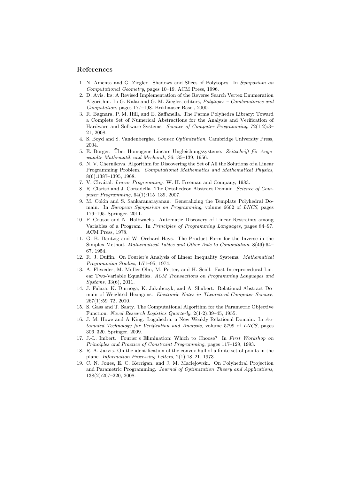## References

- 1. N. Amenta and G. Ziegler. Shadows and Slices of Polytopes. In Symposium on Computational Geometry, pages 10–19. ACM Press, 1996.
- 2. D. Avis. lrs: A Revised Implementation of the Reverse Search Vertex Enumeration Algorithm. In G. Kalai and G. M. Ziegler, editors, Polytopes – Combinatorics and Computation, pages 177-198. Brikhäuser Basel, 2000.
- 3. R. Bagnara, P. M. Hill, and E. Zaffanella. The Parma Polyhedra Library: Toward a Complete Set of Numerical Abstractions for the Analysis and Verification of Hardware and Software Systems. Science of Computer Programming, 72(1-2):3– 21, 2008.
- 4. S. Boyd and S. Vandenberghe. Convex Optimization. Cambridge University Press, 2004.
- 5. E. Burger. Über Homogene Lineare Ungleichungssysteme. Zeitschrift für Angewandte Mathematik und Mechanik, 36:135–139, 1956.
- 6. N. V. Chernikova. Algorithm for Discovering the Set of All the Solutions of a Linear Programming Problem. Computational Mathematics and Mathematical Physics, 8(6):1387–1395, 1968.
- 7. V. Chvátal. Linear Programming. W. H. Freeman and Company, 1983.
- 8. R. Clarisó and J. Cortadella. The Octahedron Abstract Domain. Science of Computer Programming, 64(1):115–139, 2007.
- 9. M. Colón and S. Sankaranarayanan. Generalizing the Template Polyhedral Domain. In European Symposium on Programming, volume 6602 of LNCS, pages 176–195. Springer, 2011.
- 10. P. Cousot and N. Halbwachs. Automatic Discovery of Linear Restraints among Variables of a Program. In Principles of Programming Languages, pages 84–97. ACM Press, 1978.
- 11. G. B. Dantzig and W. Orchard-Hays. The Product Form for the Inverse in the Simplex Method. Mathematical Tables and Other Aids to Computation, 8(46):64– 67, 1954.
- 12. R. J. Duffin. On Fourier's Analysis of Linear Inequality Systems. Mathematical Programming Studies, 1:71–95, 1974.
- 13. A. Flexeder, M. M¨uller-Olm, M. Petter, and H. Seidl. Fast Interprocedural Linear Two-Variable Equalities. ACM Transactions on Programming Languages and Systems, 33(6), 2011.
- 14. J. Fulara, K. Durnoga, K. Jakubczyk, and A. Shubert. Relational Abstract Domain of Weighted Hexagons. Electronic Notes in Theoretical Computer Science, 267(1):59–72, 2010.
- 15. S. Gass and T. Saaty. The Computational Algorithm for the Parametric Objective Function. Naval Research Logistics Quarterly, 2(1-2):39–45, 1955.
- 16. J. M. Howe and A King. Logahedra: a New Weakly Relational Domain. In Automated Technology for Verification and Analysis, volume 5799 of LNCS, pages 306–320. Springer, 2009.
- 17. J.-L. Imbert. Fourier's Elimination: Which to Choose? In First Workshop on Principles and Practice of Constraint Programming, pages 117–129, 1993.
- 18. R. A. Jarvis. On the identification of the convex hull of a finite set of points in the plane. Information Processing Letters, 2(1):18–21, 1973.
- 19. C. N. Jones, E. C. Kerrigan, and J. M. Maciejowski. On Polyhedral Projection and Parametric Programming. Journal of Optimization Theory and Applications, 138(2):207–220, 2008.